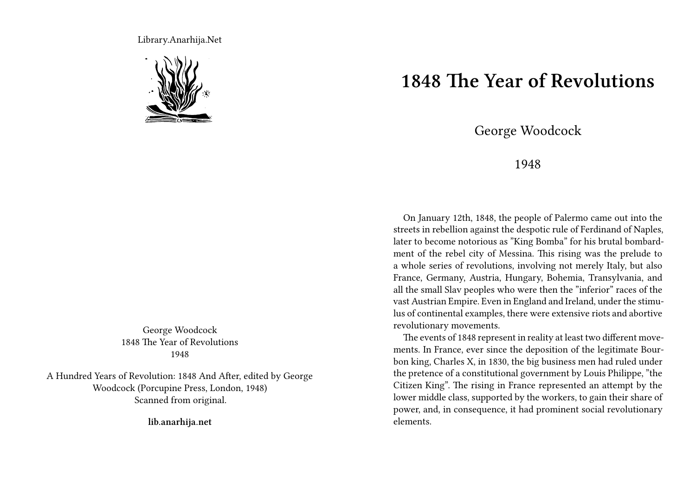Library.Anarhija.Net



George Woodcock 1848 The Year of Revolutions 1948

A Hundred Years of Revolution: 1848 And After, edited by George Woodcock (Porcupine Press, London, 1948) Scanned from original.

**lib.anarhija.net**

## **1848 The Year of Revolutions**

George Woodcock

## 1948

On January 12th, 1848, the people of Palermo came out into the streets in rebellion against the despotic rule of Ferdinand of Naples, later to become notorious as "King Bomba" for his brutal bombardment of the rebel city of Messina. This rising was the prelude to a whole series of revolutions, involving not merely Italy, but also France, Germany, Austria, Hungary, Bohemia, Transylvania, and all the small Slav peoples who were then the "inferior" races of the vast Austrian Empire. Even in England and Ireland, under the stimulus of continental examples, there were extensive riots and abortive revolutionary movements.

The events of 1848 represent in reality at least two different movements. In France, ever since the deposition of the legitimate Bourbon king, Charles X, in 1830, the big business men had ruled under the pretence of a constitutional government by Louis Philippe, "the Citizen King". The rising in France represented an attempt by the lower middle class, supported by the workers, to gain their share of power, and, in consequence, it had prominent social revolutionary elements.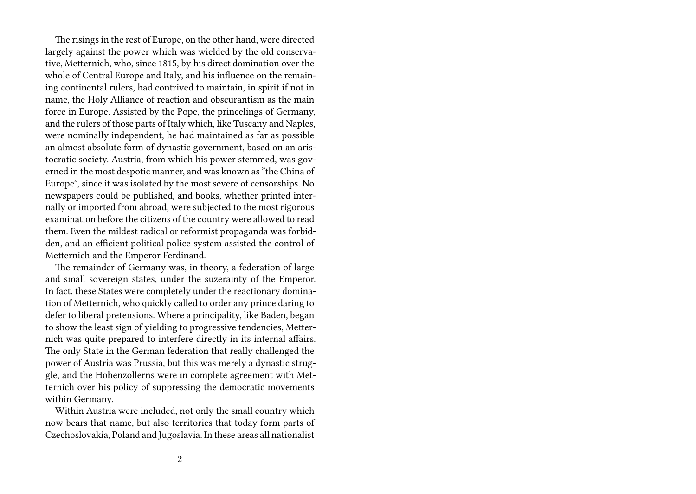The risings in the rest of Europe, on the other hand, were directed largely against the power which was wielded by the old conservative, Metternich, who, since 1815, by his direct domination over the whole of Central Europe and Italy, and his influence on the remaining continental rulers, had contrived to maintain, in spirit if not in name, the Holy Alliance of reaction and obscurantism as the main force in Europe. Assisted by the Pope, the princelings of Germany, and the rulers of those parts of Italy which, like Tuscany and Naples, were nominally independent, he had maintained as far as possible an almost absolute form of dynastic government, based on an aristocratic society. Austria, from which his power stemmed, was governed in the most despotic manner, and was known as "the China of Europe", since it was isolated by the most severe of censorships. No newspapers could be published, and books, whether printed internally or imported from abroad, were subjected to the most rigorous examination before the citizens of the country were allowed to read them. Even the mildest radical or reformist propaganda was forbidden, and an efficient political police system assisted the control of Metternich and the Emperor Ferdinand.

The remainder of Germany was, in theory, a federation of large and small sovereign states, under the suzerainty of the Emperor. In fact, these States were completely under the reactionary domination of Metternich, who quickly called to order any prince daring to defer to liberal pretensions. Where a principality, like Baden, began to show the least sign of yielding to progressive tendencies, Metternich was quite prepared to interfere directly in its internal affairs. The only State in the German federation that really challenged the power of Austria was Prussia, but this was merely a dynastic struggle, and the Hohenzollerns were in complete agreement with Metternich over his policy of suppressing the democratic movements within Germany.

Within Austria were included, not only the small country which now bears that name, but also territories that today form parts of Czechoslovakia, Poland and Jugoslavia. In these areas all nationalist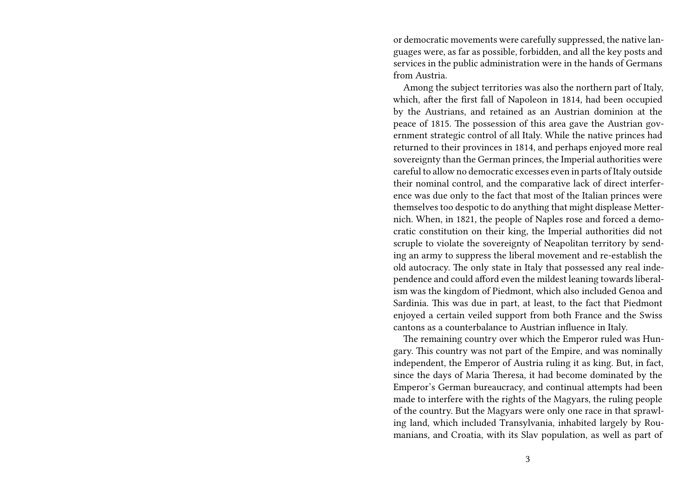or democratic movements were carefully suppressed, the native languages were, as far as possible, forbidden, and all the key posts and services in the public administration were in the hands of Germans from Austria.

Among the subject territories was also the northern part of Italy, which, after the first fall of Napoleon in 1814, had been occupied by the Austrians, and retained as an Austrian dominion at the peace of 1815. The possession of this area gave the Austrian government strategic control of all Italy. While the native princes had returned to their provinces in 1814, and perhaps enjoyed more real sovereignty than the German princes, the Imperial authorities were careful to allow no democratic excesses even in parts of Italy outside their nominal control, and the comparative lack of direct interference was due only to the fact that most of the Italian princes were themselves too despotic to do anything that might displease Metternich. When, in 1821, the people of Naples rose and forced a democratic constitution on their king, the Imperial authorities did not scruple to violate the sovereignty of Neapolitan territory by sending an army to suppress the liberal movement and re-establish the old autocracy. The only state in Italy that possessed any real independence and could afford even the mildest leaning towards liberalism was the kingdom of Piedmont, which also included Genoa and Sardinia. This was due in part, at least, to the fact that Piedmont enjoyed a certain veiled support from both France and the Swiss cantons as a counterbalance to Austrian influence in Italy.

The remaining country over which the Emperor ruled was Hungary. This country was not part of the Empire, and was nominally independent, the Emperor of Austria ruling it as king. But, in fact, since the days of Maria Theresa, it had become dominated by the Emperor's German bureaucracy, and continual attempts had been made to interfere with the rights of the Magyars, the ruling people of the country. But the Magyars were only one race in that sprawling land, which included Transylvania, inhabited largely by Roumanians, and Croatia, with its Slav population, as well as part of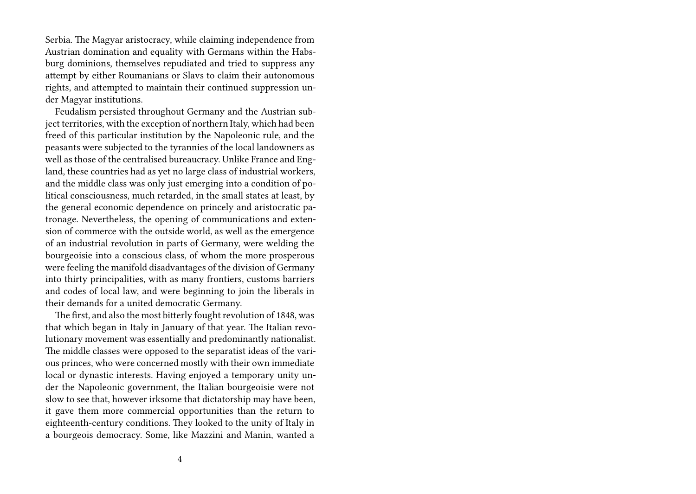Serbia. The Magyar aristocracy, while claiming independence from Austrian domination and equality with Germans within the Habsburg dominions, themselves repudiated and tried to suppress any attempt by either Roumanians or Slavs to claim their autonomous rights, and attempted to maintain their continued suppression under Magyar institutions.

Feudalism persisted throughout Germany and the Austrian subject territories, with the exception of northern Italy, which had been freed of this particular institution by the Napoleonic rule, and the peasants were subjected to the tyrannies of the local landowners as well as those of the centralised bureaucracy. Unlike France and England, these countries had as yet no large class of industrial workers, and the middle class was only just emerging into a condition of political consciousness, much retarded, in the small states at least, by the general economic dependence on princely and aristocratic patronage. Nevertheless, the opening of communications and extension of commerce with the outside world, as well as the emergence of an industrial revolution in parts of Germany, were welding the bourgeoisie into a conscious class, of whom the more prosperous were feeling the manifold disadvantages of the division of Germany into thirty principalities, with as many frontiers, customs barriers and codes of local law, and were beginning to join the liberals in their demands for a united democratic Germany.

The first, and also the most bitterly fought revolution of 1848, was that which began in Italy in January of that year. The Italian revolutionary movement was essentially and predominantly nationalist. The middle classes were opposed to the separatist ideas of the various princes, who were concerned mostly with their own immediate local or dynastic interests. Having enjoyed a temporary unity under the Napoleonic government, the Italian bourgeoisie were not slow to see that, however irksome that dictatorship may have been, it gave them more commercial opportunities than the return to eighteenth-century conditions. They looked to the unity of Italy in a bourgeois democracy. Some, like Mazzini and Manin, wanted a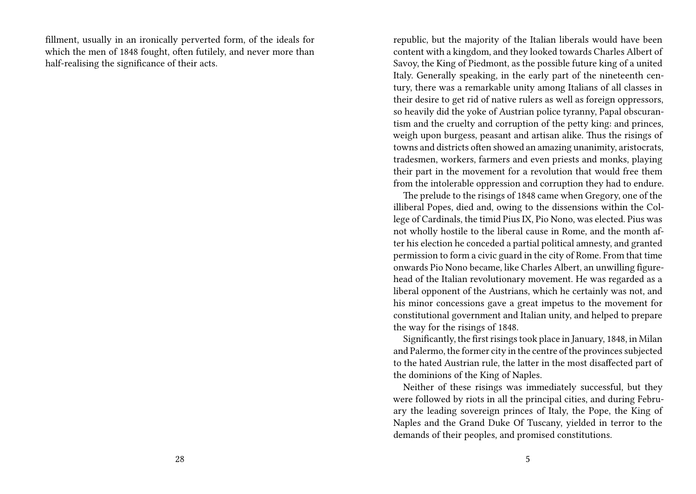fillment, usually in an ironically perverted form, of the ideals for which the men of 1848 fought, often futilely, and never more than half-realising the significance of their acts.

republic, but the majority of the Italian liberals would have been content with a kingdom, and they looked towards Charles Albert of Savoy, the King of Piedmont, as the possible future king of a united Italy. Generally speaking, in the early part of the nineteenth century, there was a remarkable unity among Italians of all classes in their desire to get rid of native rulers as well as foreign oppressors, so heavily did the yoke of Austrian police tyranny, Papal obscurantism and the cruelty and corruption of the petty king: and princes, weigh upon burgess, peasant and artisan alike. Thus the risings of towns and districts often showed an amazing unanimity, aristocrats, tradesmen, workers, farmers and even priests and monks, playing their part in the movement for a revolution that would free them from the intolerable oppression and corruption they had to endure.

The prelude to the risings of 1848 came when Gregory, one of the illiberal Popes, died and, owing to the dissensions within the College of Cardinals, the timid Pius IX, Pio Nono, was elected. Pius was not wholly hostile to the liberal cause in Rome, and the month after his election he conceded a partial political amnesty, and granted permission to form a civic guard in the city of Rome. From that time onwards Pio Nono became, like Charles Albert, an unwilling figurehead of the Italian revolutionary movement. He was regarded as a liberal opponent of the Austrians, which he certainly was not, and his minor concessions gave a great impetus to the movement for constitutional government and Italian unity, and helped to prepare the way for the risings of 1848.

Significantly, the first risings took place in January, 1848, in Milan and Palermo, the former city in the centre of the provinces subjected to the hated Austrian rule, the latter in the most disaffected part of the dominions of the King of Naples.

Neither of these risings was immediately successful, but they were followed by riots in all the principal cities, and during February the leading sovereign princes of Italy, the Pope, the King of Naples and the Grand Duke Of Tuscany, yielded in terror to the demands of their peoples, and promised constitutions.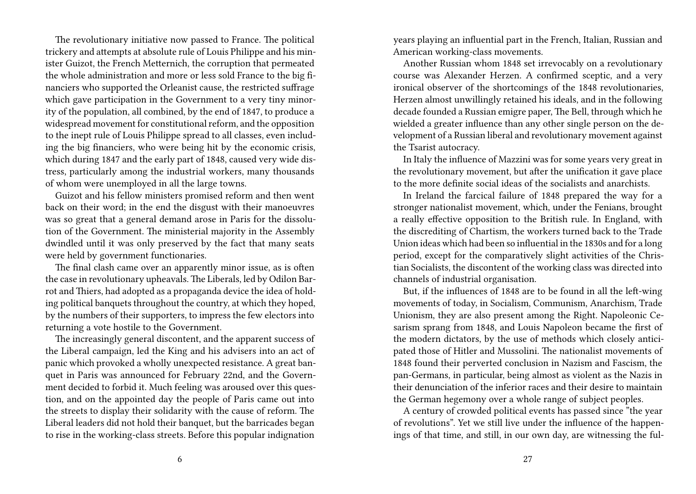The revolutionary initiative now passed to France. The political trickery and attempts at absolute rule of Louis Philippe and his minister Guizot, the French Metternich, the corruption that permeated the whole administration and more or less sold France to the big financiers who supported the Orleanist cause, the restricted suffrage which gave participation in the Government to a very tiny minority of the population, all combined, by the end of 1847, to produce a widespread movement for constitutional reform, and the opposition to the inept rule of Louis Philippe spread to all classes, even including the big financiers, who were being hit by the economic crisis, which during 1847 and the early part of 1848, caused very wide distress, particularly among the industrial workers, many thousands of whom were unemployed in all the large towns.

Guizot and his fellow ministers promised reform and then went back on their word; in the end the disgust with their manoeuvres was so great that a general demand arose in Paris for the dissolution of the Government. The ministerial majority in the Assembly dwindled until it was only preserved by the fact that many seats were held by government functionaries.

The final clash came over an apparently minor issue, as is often the case in revolutionary upheavals. The Liberals, led by Odilon Barrot and Thiers, had adopted as a propaganda device the idea of holding political banquets throughout the country, at which they hoped, by the numbers of their supporters, to impress the few electors into returning a vote hostile to the Government.

The increasingly general discontent, and the apparent success of the Liberal campaign, led the King and his advisers into an act of panic which provoked a wholly unexpected resistance. A great banquet in Paris was announced for February 22nd, and the Government decided to forbid it. Much feeling was aroused over this question, and on the appointed day the people of Paris came out into the streets to display their solidarity with the cause of reform. The Liberal leaders did not hold their banquet, but the barricades began to rise in the working-class streets. Before this popular indignation

years playing an influential part in the French, Italian, Russian and American working-class movements.

Another Russian whom 1848 set irrevocably on a revolutionary course was Alexander Herzen. A confirmed sceptic, and a very ironical observer of the shortcomings of the 1848 revolutionaries, Herzen almost unwillingly retained his ideals, and in the following decade founded a Russian emigre paper, The Bell, through which he wielded a greater influence than any other single person on the development of a Russian liberal and revolutionary movement against the Tsarist autocracy.

In Italy the influence of Mazzini was for some years very great in the revolutionary movement, but after the unification it gave place to the more definite social ideas of the socialists and anarchists.

In Ireland the farcical failure of 1848 prepared the way for a stronger nationalist movement, which, under the Fenians, brought a really effective opposition to the British rule. In England, with the discrediting of Chartism, the workers turned back to the Trade Union ideas which had been so influential in the 1830s and for a long period, except for the comparatively slight activities of the Christian Socialists, the discontent of the working class was directed into channels of industrial organisation.

But, if the influences of 1848 are to be found in all the left-wing movements of today, in Socialism, Communism, Anarchism, Trade Unionism, they are also present among the Right. Napoleonic Cesarism sprang from 1848, and Louis Napoleon became the first of the modern dictators, by the use of methods which closely anticipated those of Hitler and Mussolini. The nationalist movements of 1848 found their perverted conclusion in Nazism and Fascism, the pan-Germans, in particular, being almost as violent as the Nazis in their denunciation of the inferior races and their desire to maintain the German hegemony over a whole range of subject peoples.

A century of crowded political events has passed since "the year of revolutions". Yet we still live under the influence of the happenings of that time, and still, in our own day, are witnessing the ful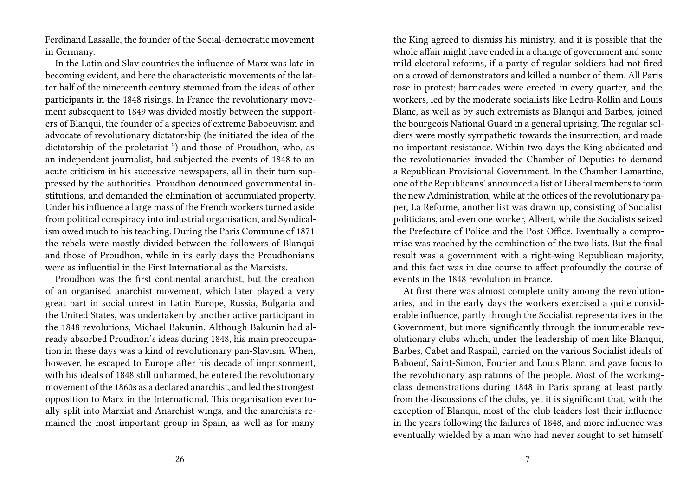Ferdinand Lassalle, the founder of the Social-democratic movement in Germany.

In the Latin and Slav countries the influence of Marx was late in becoming evident, and here the characteristic movements of the latter half of the nineteenth century stemmed from the ideas of other participants in the 1848 risings. In France the revolutionary movement subsequent to 1849 was divided mostly between the supporters of Blanqui, the founder of a species of extreme Baboeuvism and advocate of revolutionary dictatorship (he initiated the idea of the dictatorship of the proletariat ") and those of Proudhon, who, as an independent journalist, had subjected the events of 1848 to an acute criticism in his successive newspapers, all in their turn suppressed by the authorities. Proudhon denounced governmental institutions, and demanded the elimination of accumulated property. Under his influence a large mass of the French workers turned aside from political conspiracy into industrial organisation, and Syndicalism owed much to his teaching. During the Paris Commune of 1871 the rebels were mostly divided between the followers of Blanqui and those of Proudhon, while in its early days the Proudhonians were as influential in the First International as the Marxists.

Proudhon was the first continental anarchist, but the creation of an organised anarchist movement, which later played a very great part in social unrest in Latin Europe, Russia, Bulgaria and the United States, was undertaken by another active participant in the 1848 revolutions, Michael Bakunin. Although Bakunin had already absorbed Proudhon's ideas during 1848, his main preoccupation in these days was a kind of revolutionary pan-Slavism. When, however, he escaped to Europe after his decade of imprisonment, with his ideals of 1848 still unharmed, he entered the revolutionary movement of the 1860s as a declared anarchist, and led the strongest opposition to Marx in the International. This organisation eventually split into Marxist and Anarchist wings, and the anarchists remained the most important group in Spain, as well as for many

the King agreed to dismiss his ministry, and it is possible that the whole affair might have ended in a change of government and some mild electoral reforms, if a party of regular soldiers had not fired on a crowd of demonstrators and killed a number of them. All Paris rose in protest; barricades were erected in every quarter, and the workers, led by the moderate socialists like Ledru-Rollin and Louis Blanc, as well as by such extremists as Blanqui and Barbes, joined the bourgeois National Guard in a general uprising. The regular soldiers were mostly sympathetic towards the insurrection, and made no important resistance. Within two days the King abdicated and the revolutionaries invaded the Chamber of Deputies to demand a Republican Provisional Government. In the Chamber Lamartine, one of the Republicans' announced a list of Liberal members to form the new Administration, while at the offices of the revolutionary paper, La Reforme, another list was drawn up, consisting of Socialist politicians, and even one worker, Albert, while the Socialists seized the Prefecture of Police and the Post Office. Eventually a compromise was reached by the combination of the two lists. But the final result was a government with a right-wing Republican majority, and this fact was in due course to affect profoundly the course of events in the 1848 revolution in France.

At first there was almost complete unity among the revolutionaries, and in the early days the workers exercised a quite considerable influence, partly through the Socialist representatives in the Government, but more significantly through the innumerable revolutionary clubs which, under the leadership of men like Blanqui, Barbes, Cabet and Raspail, carried on the various Socialist ideals of Baboeuf, Saint-Simon, Fourier and Louis Blanc, and gave focus to the revolutionary aspirations of the people. Most of the workingclass demonstrations during 1848 in Paris sprang at least partly from the discussions of the clubs, yet it is significant that, with the exception of Blanqui, most of the club leaders lost their influence in the years following the failures of 1848, and more influence was eventually wielded by a man who had never sought to set himself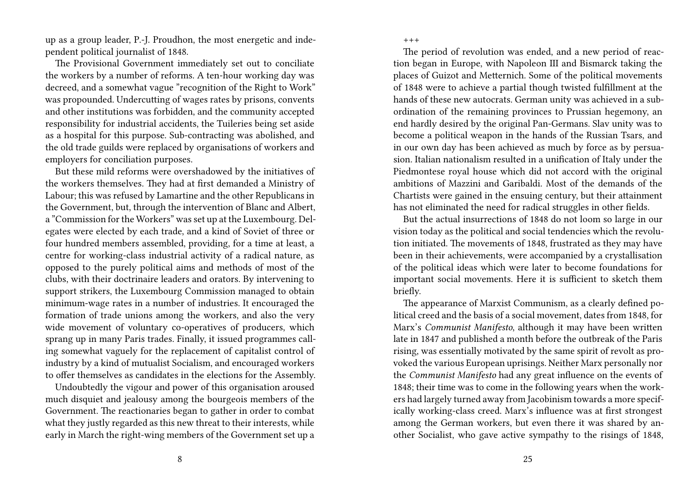up as a group leader, P.-J. Proudhon, the most energetic and independent political journalist of 1848.

The Provisional Government immediately set out to conciliate the workers by a number of reforms. A ten-hour working day was decreed, and a somewhat vague "recognition of the Right to Work" was propounded. Undercutting of wages rates by prisons, convents and other institutions was forbidden, and the community accepted responsibility for industrial accidents, the Tuileries being set aside as a hospital for this purpose. Sub-contracting was abolished, and the old trade guilds were replaced by organisations of workers and employers for conciliation purposes.

But these mild reforms were overshadowed by the initiatives of the workers themselves. They had at first demanded a Ministry of Labour; this was refused by Lamartine and the other Republicans in the Government, but, through the intervention of Blanc and Albert, a "Commission for the Workers" was set up at the Luxembourg. Delegates were elected by each trade, and a kind of Soviet of three or four hundred members assembled, providing, for a time at least, a centre for working-class industrial activity of a radical nature, as opposed to the purely political aims and methods of most of the clubs, with their doctrinaire leaders and orators. By intervening to support strikers, the Luxembourg Commission managed to obtain minimum-wage rates in a number of industries. It encouraged the formation of trade unions among the workers, and also the very wide movement of voluntary co-operatives of producers, which sprang up in many Paris trades. Finally, it issued programmes calling somewhat vaguely for the replacement of capitalist control of industry by a kind of mutualist Socialism, and encouraged workers to offer themselves as candidates in the elections for the Assembly.

Undoubtedly the vigour and power of this organisation aroused much disquiet and jealousy among the bourgeois members of the Government. The reactionaries began to gather in order to combat what they justly regarded as this new threat to their interests, while early in March the right-wing members of the Government set up a  $+ + +$ 

The period of revolution was ended, and a new period of reaction began in Europe, with Napoleon III and Bismarck taking the places of Guizot and Metternich. Some of the political movements of 1848 were to achieve a partial though twisted fulfillment at the hands of these new autocrats. German unity was achieved in a subordination of the remaining provinces to Prussian hegemony, an end hardly desired by the original Pan-Germans. Slav unity was to become a political weapon in the hands of the Russian Tsars, and in our own day has been achieved as much by force as by persuasion. Italian nationalism resulted in a unification of Italy under the Piedmontese royal house which did not accord with the original ambitions of Mazzini and Garibaldi. Most of the demands of the Chartists were gained in the ensuing century, but their attainment has not eliminated the need for radical struggles in other fields.

But the actual insurrections of 1848 do not loom so large in our vision today as the political and social tendencies which the revolution initiated. The movements of 1848, frustrated as they may have been in their achievements, were accompanied by a crystallisation of the political ideas which were later to become foundations for important social movements. Here it is sufficient to sketch them briefly.

The appearance of Marxist Communism, as a clearly defined political creed and the basis of a social movement, dates from 1848, for Marx's *Communist Manifesto*, although it may have been written late in 1847 and published a month before the outbreak of the Paris rising, was essentially motivated by the same spirit of revolt as provoked the various European uprisings. Neither Marx personally nor the *Communist Manifesto* had any great influence on the events of 1848; their time was to come in the following years when the workers had largely turned away from Jacobinism towards a more specifically working-class creed. Marx's influence was at first strongest among the German workers, but even there it was shared by another Socialist, who gave active sympathy to the risings of 1848,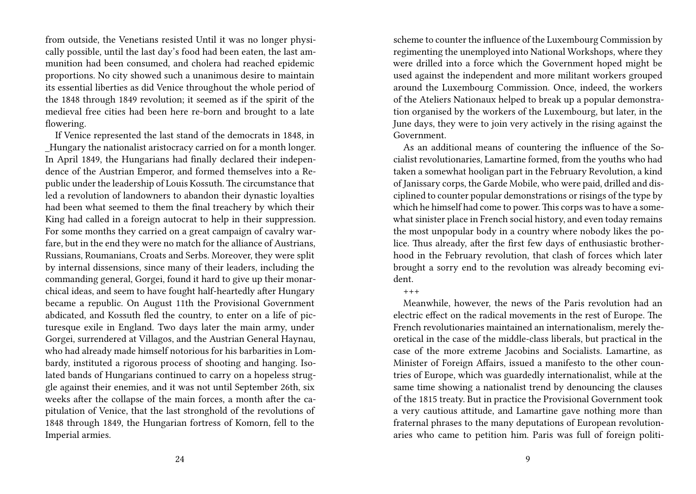from outside, the Venetians resisted Until it was no longer physically possible, until the last day's food had been eaten, the last ammunition had been consumed, and cholera had reached epidemic proportions. No city showed such a unanimous desire to maintain its essential liberties as did Venice throughout the whole period of the 1848 through 1849 revolution; it seemed as if the spirit of the medieval free cities had been here re-born and brought to a late flowering.

If Venice represented the last stand of the democrats in 1848, in Hungary the nationalist aristocracy carried on for a month longer. In April 1849, the Hungarians had finally declared their independence of the Austrian Emperor, and formed themselves into a Republic under the leadership of Louis Kossuth. The circumstance that led a revolution of landowners to abandon their dynastic loyalties had been what seemed to them the final treachery by which their King had called in a foreign autocrat to help in their suppression. For some months they carried on a great campaign of cavalry warfare, but in the end they were no match for the alliance of Austrians, Russians, Roumanians, Croats and Serbs. Moreover, they were split by internal dissensions, since many of their leaders, including the commanding general, Gorgei, found it hard to give up their monarchical ideas, and seem to have fought half-heartedly after Hungary became a republic. On August 11th the Provisional Government abdicated, and Kossuth fled the country, to enter on a life of picturesque exile in England. Two days later the main army, under Gorgei, surrendered at Villagos, and the Austrian General Haynau, who had already made himself notorious for his barbarities in Lombardy, instituted a rigorous process of shooting and hanging. Isolated bands of Hungarians continued to carry on a hopeless struggle against their enemies, and it was not until September 26th, six weeks after the collapse of the main forces, a month after the capitulation of Venice, that the last stronghold of the revolutions of 1848 through 1849, the Hungarian fortress of Komorn, fell to the Imperial armies.

scheme to counter the influence of the Luxembourg Commission by regimenting the unemployed into National Workshops, where they were drilled into a force which the Government hoped might be used against the independent and more militant workers grouped around the Luxembourg Commission. Once, indeed, the workers of the Ateliers Nationaux helped to break up a popular demonstration organised by the workers of the Luxembourg, but later, in the June days, they were to join very actively in the rising against the Government.

As an additional means of countering the influence of the Socialist revolutionaries, Lamartine formed, from the youths who had taken a somewhat hooligan part in the February Revolution, a kind of Janissary corps, the Garde Mobile, who were paid, drilled and disciplined to counter popular demonstrations or risings of the type by which he himself had come to power. This corps was to have a somewhat sinister place in French social history, and even today remains the most unpopular body in a country where nobody likes the police. Thus already, after the first few days of enthusiastic brotherhood in the February revolution, that clash of forces which later brought a sorry end to the revolution was already becoming evident.

## $+ + +$

Meanwhile, however, the news of the Paris revolution had an electric effect on the radical movements in the rest of Europe. The French revolutionaries maintained an internationalism, merely theoretical in the case of the middle-class liberals, but practical in the case of the more extreme Jacobins and Socialists. Lamartine, as Minister of Foreign Affairs, issued a manifesto to the other countries of Europe, which was guardedly internationalist, while at the same time showing a nationalist trend by denouncing the clauses of the 1815 treaty. But in practice the Provisional Government took a very cautious attitude, and Lamartine gave nothing more than fraternal phrases to the many deputations of European revolutionaries who came to petition him. Paris was full of foreign politi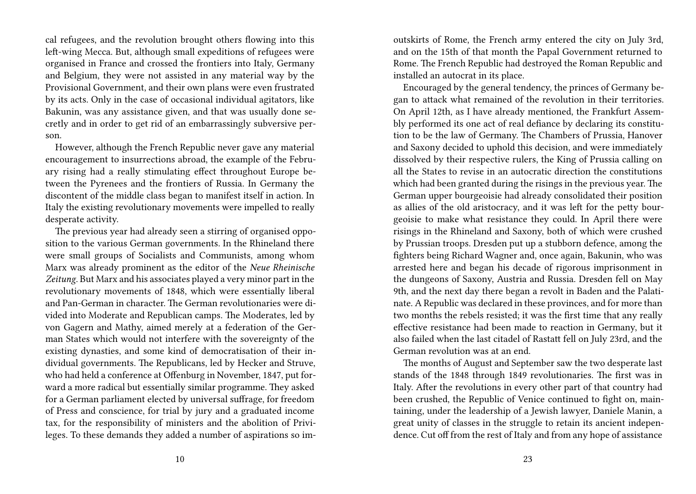cal refugees, and the revolution brought others flowing into this left-wing Mecca. But, although small expeditions of refugees were organised in France and crossed the frontiers into Italy, Germany and Belgium, they were not assisted in any material way by the Provisional Government, and their own plans were even frustrated by its acts. Only in the case of occasional individual agitators, like Bakunin, was any assistance given, and that was usually done secretly and in order to get rid of an embarrassingly subversive person.

However, although the French Republic never gave any material encouragement to insurrections abroad, the example of the February rising had a really stimulating effect throughout Europe between the Pyrenees and the frontiers of Russia. In Germany the discontent of the middle class began to manifest itself in action. In Italy the existing revolutionary movements were impelled to really desperate activity.

The previous year had already seen a stirring of organised opposition to the various German governments. In the Rhineland there were small groups of Socialists and Communists, among whom Marx was already prominent as the editor of the *Neue Rheinische Zeitung*. But Marx and his associates played a very minor part in the revolutionary movements of 1848, which were essentially liberal and Pan-German in character. The German revolutionaries were divided into Moderate and Republican camps. The Moderates, led by von Gagern and Mathy, aimed merely at a federation of the German States which would not interfere with the sovereignty of the existing dynasties, and some kind of democratisation of their individual governments. The Republicans, led by Hecker and Struve, who had held a conference at Offenburg in November, 1847, put forward a more radical but essentially similar programme. They asked for a German parliament elected by universal suffrage, for freedom of Press and conscience, for trial by jury and a graduated income tax, for the responsibility of ministers and the abolition of Privileges. To these demands they added a number of aspirations so imoutskirts of Rome, the French army entered the city on July 3rd, and on the 15th of that month the Papal Government returned to Rome. The French Republic had destroyed the Roman Republic and installed an autocrat in its place.

Encouraged by the general tendency, the princes of Germany began to attack what remained of the revolution in their territories. On April 12th, as I have already mentioned, the Frankfurt Assembly performed its one act of real defiance by declaring its constitution to be the law of Germany. The Chambers of Prussia, Hanover and Saxony decided to uphold this decision, and were immediately dissolved by their respective rulers, the King of Prussia calling on all the States to revise in an autocratic direction the constitutions which had been granted during the risings in the previous year. The German upper bourgeoisie had already consolidated their position as allies of the old aristocracy, and it was left for the petty bourgeoisie to make what resistance they could. In April there were risings in the Rhineland and Saxony, both of which were crushed by Prussian troops. Dresden put up a stubborn defence, among the fighters being Richard Wagner and, once again, Bakunin, who was arrested here and began his decade of rigorous imprisonment in the dungeons of Saxony, Austria and Russia. Dresden fell on May 9th, and the next day there began a revolt in Baden and the Palatinate. A Republic was declared in these provinces, and for more than two months the rebels resisted; it was the first time that any really effective resistance had been made to reaction in Germany, but it also failed when the last citadel of Rastatt fell on July 23rd, and the German revolution was at an end.

The months of August and September saw the two desperate last stands of the 1848 through 1849 revolutionaries. The first was in Italy. After the revolutions in every other part of that country had been crushed, the Republic of Venice continued to fight on, maintaining, under the leadership of a Jewish lawyer, Daniele Manin, a great unity of classes in the struggle to retain its ancient independence. Cut off from the rest of Italy and from any hope of assistance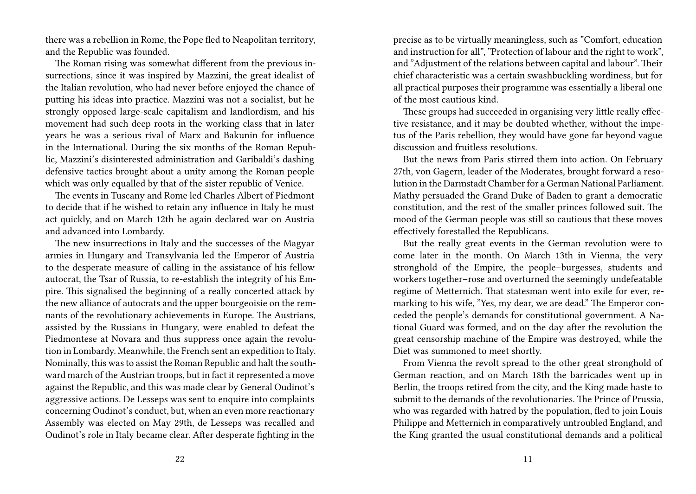there was a rebellion in Rome, the Pope fled to Neapolitan territory, and the Republic was founded.

The Roman rising was somewhat different from the previous insurrections, since it was inspired by Mazzini, the great idealist of the Italian revolution, who had never before enjoyed the chance of putting his ideas into practice. Mazzini was not a socialist, but he strongly opposed large-scale capitalism and landlordism, and his movement had such deep roots in the working class that in later years he was a serious rival of Marx and Bakunin for influence in the International. During the six months of the Roman Republic, Mazzini's disinterested administration and Garibaldi's dashing defensive tactics brought about a unity among the Roman people which was only equalled by that of the sister republic of Venice.

The events in Tuscany and Rome led Charles Albert of Piedmont to decide that if he wished to retain any influence in Italy he must act quickly, and on March 12th he again declared war on Austria and advanced into Lombardy.

The new insurrections in Italy and the successes of the Magyar armies in Hungary and Transylvania led the Emperor of Austria to the desperate measure of calling in the assistance of his fellow autocrat, the Tsar of Russia, to re-establish the integrity of his Empire. This signalised the beginning of a really concerted attack by the new alliance of autocrats and the upper bourgeoisie on the remnants of the revolutionary achievements in Europe. The Austrians, assisted by the Russians in Hungary, were enabled to defeat the Piedmontese at Novara and thus suppress once again the revolution in Lombardy. Meanwhile, the French sent an expedition to Italy. Nominally, this was to assist the Roman Republic and halt the southward march of the Austrian troops, but in fact it represented a move against the Republic, and this was made clear by General Oudinot's aggressive actions. De Lesseps was sent to enquire into complaints concerning Oudinot's conduct, but, when an even more reactionary Assembly was elected on May 29th, de Lesseps was recalled and Oudinot's role in Italy became clear. After desperate fighting in the

precise as to be virtually meaningless, such as "Comfort, education and instruction for all", "Protection of labour and the right to work", and "Adjustment of the relations between capital and labour". Their chief characteristic was a certain swashbuckling wordiness, but for all practical purposes their programme was essentially a liberal one of the most cautious kind.

These groups had succeeded in organising very little really effective resistance, and it may be doubted whether, without the impetus of the Paris rebellion, they would have gone far beyond vague discussion and fruitless resolutions.

But the news from Paris stirred them into action. On February 27th, von Gagern, leader of the Moderates, brought forward a resolution in the Darmstadt Chamber for a German National Parliament. Mathy persuaded the Grand Duke of Baden to grant a democratic constitution, and the rest of the smaller princes followed suit. The mood of the German people was still so cautious that these moves effectively forestalled the Republicans.

But the really great events in the German revolution were to come later in the month. On March 13th in Vienna, the very stronghold of the Empire, the people–burgesses, students and workers together–rose and overturned the seemingly undefeatable regime of Metternich. That statesman went into exile for ever, remarking to his wife, "Yes, my dear, we are dead." The Emperor conceded the people's demands for constitutional government. A National Guard was formed, and on the day after the revolution the great censorship machine of the Empire was destroyed, while the Diet was summoned to meet shortly.

From Vienna the revolt spread to the other great stronghold of German reaction, and on March 18th the barricades went up in Berlin, the troops retired from the city, and the King made haste to submit to the demands of the revolutionaries. The Prince of Prussia, who was regarded with hatred by the population, fled to join Louis Philippe and Metternich in comparatively untroubled England, and the King granted the usual constitutional demands and a political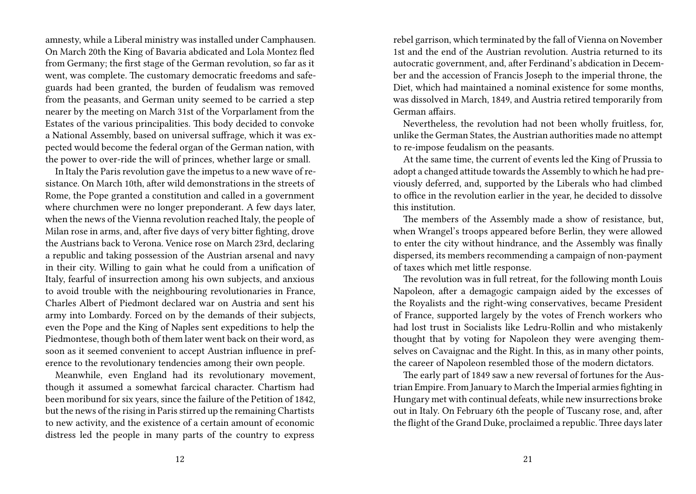amnesty, while a Liberal ministry was installed under Camphausen. On March 20th the King of Bavaria abdicated and Lola Montez fled from Germany; the first stage of the German revolution, so far as it went, was complete. The customary democratic freedoms and safeguards had been granted, the burden of feudalism was removed from the peasants, and German unity seemed to be carried a step nearer by the meeting on March 31st of the Vorparlament from the Estates of the various principalities. This body decided to convoke a National Assembly, based on universal suffrage, which it was expected would become the federal organ of the German nation, with the power to over-ride the will of princes, whether large or small.

In Italy the Paris revolution gave the impetus to a new wave of resistance. On March 10th, after wild demonstrations in the streets of Rome, the Pope granted a constitution and called in a government where churchmen were no longer preponderant. A few days later, when the news of the Vienna revolution reached Italy, the people of Milan rose in arms, and, after five days of very bitter fighting, drove the Austrians back to Verona. Venice rose on March 23rd, declaring a republic and taking possession of the Austrian arsenal and navy in their city. Willing to gain what he could from a unification of Italy, fearful of insurrection among his own subjects, and anxious to avoid trouble with the neighbouring revolutionaries in France, Charles Albert of Piedmont declared war on Austria and sent his army into Lombardy. Forced on by the demands of their subjects, even the Pope and the King of Naples sent expeditions to help the Piedmontese, though both of them later went back on their word, as soon as it seemed convenient to accept Austrian influence in preference to the revolutionary tendencies among their own people.

Meanwhile, even England had its revolutionary movement, though it assumed a somewhat farcical character. Chartism had been moribund for six years, since the failure of the Petition of 1842, but the news of the rising in Paris stirred up the remaining Chartists to new activity, and the existence of a certain amount of economic distress led the people in many parts of the country to express

rebel garrison, which terminated by the fall of Vienna on November 1st and the end of the Austrian revolution. Austria returned to its autocratic government, and, after Ferdinand's abdication in December and the accession of Francis Joseph to the imperial throne, the Diet, which had maintained a nominal existence for some months, was dissolved in March, 1849, and Austria retired temporarily from German affairs.

Nevertheless, the revolution had not been wholly fruitless, for, unlike the German States, the Austrian authorities made no attempt to re-impose feudalism on the peasants.

At the same time, the current of events led the King of Prussia to adopt a changed attitude towards the Assembly to which he had previously deferred, and, supported by the Liberals who had climbed to office in the revolution earlier in the year, he decided to dissolve this institution.

The members of the Assembly made a show of resistance, but, when Wrangel's troops appeared before Berlin, they were allowed to enter the city without hindrance, and the Assembly was finally dispersed, its members recommending a campaign of non-payment of taxes which met little response.

The revolution was in full retreat, for the following month Louis Napoleon, after a demagogic campaign aided by the excesses of the Royalists and the right-wing conservatives, became President of France, supported largely by the votes of French workers who had lost trust in Socialists like Ledru-Rollin and who mistakenly thought that by voting for Napoleon they were avenging themselves on Cavaignac and the Right. In this, as in many other points, the career of Napoleon resembled those of the modern dictators.

The early part of 1849 saw a new reversal of fortunes for the Austrian Empire. From January to March the Imperial armies fighting in Hungary met with continual defeats, while new insurrections broke out in Italy. On February 6th the people of Tuscany rose, and, after the flight of the Grand Duke, proclaimed a republic. Three days later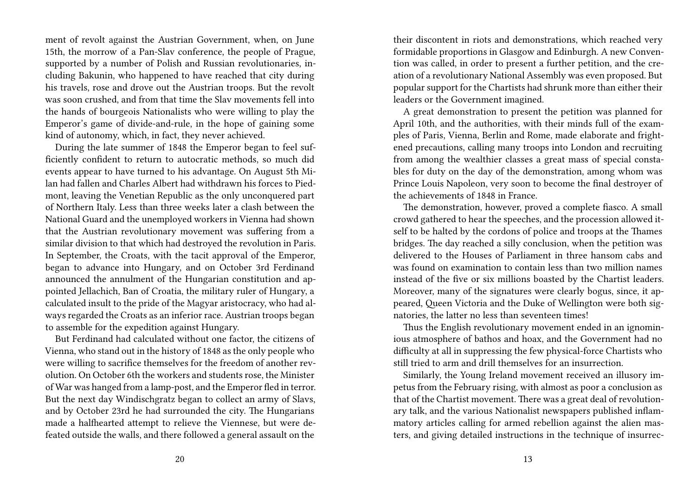ment of revolt against the Austrian Government, when, on June 15th, the morrow of a Pan-Slav conference, the people of Prague, supported by a number of Polish and Russian revolutionaries, including Bakunin, who happened to have reached that city during his travels, rose and drove out the Austrian troops. But the revolt was soon crushed, and from that time the Slav movements fell into the hands of bourgeois Nationalists who were willing to play the Emperor's game of divide-and-rule, in the hope of gaining some kind of autonomy, which, in fact, they never achieved.

During the late summer of 1848 the Emperor began to feel sufficiently confident to return to autocratic methods, so much did events appear to have turned to his advantage. On August 5th Milan had fallen and Charles Albert had withdrawn his forces to Piedmont, leaving the Venetian Republic as the only unconquered part of Northern Italy. Less than three weeks later a clash between the National Guard and the unemployed workers in Vienna had shown that the Austrian revolutionary movement was suffering from a similar division to that which had destroyed the revolution in Paris. In September, the Croats, with the tacit approval of the Emperor, began to advance into Hungary, and on October 3rd Ferdinand announced the annulment of the Hungarian constitution and appointed Jellachich, Ban of Croatia, the military ruler of Hungary, a calculated insult to the pride of the Magyar aristocracy, who had always regarded the Croats as an inferior race. Austrian troops began to assemble for the expedition against Hungary.

But Ferdinand had calculated without one factor, the citizens of Vienna, who stand out in the history of 1848 as the only people who were willing to sacrifice themselves for the freedom of another revolution. On October 6th the workers and students rose, the Minister of War was hanged from a lamp-post, and the Emperor fled in terror. But the next day Windischgratz began to collect an army of Slavs, and by October 23rd he had surrounded the city. The Hungarians made a halfhearted attempt to relieve the Viennese, but were defeated outside the walls, and there followed a general assault on the

their discontent in riots and demonstrations, which reached very formidable proportions in Glasgow and Edinburgh. A new Convention was called, in order to present a further petition, and the creation of a revolutionary National Assembly was even proposed. But popular support for the Chartists had shrunk more than either their leaders or the Government imagined.

A great demonstration to present the petition was planned for April 10th, and the authorities, with their minds full of the examples of Paris, Vienna, Berlin and Rome, made elaborate and frightened precautions, calling many troops into London and recruiting from among the wealthier classes a great mass of special constables for duty on the day of the demonstration, among whom was Prince Louis Napoleon, very soon to become the final destroyer of the achievements of 1848 in France.

The demonstration, however, proved a complete fiasco. A small crowd gathered to hear the speeches, and the procession allowed itself to be halted by the cordons of police and troops at the Thames bridges. The day reached a silly conclusion, when the petition was delivered to the Houses of Parliament in three hansom cabs and was found on examination to contain less than two million names instead of the five or six millions boasted by the Chartist leaders. Moreover, many of the signatures were clearly bogus, since, it appeared, Queen Victoria and the Duke of Wellington were both signatories, the latter no less than seventeen times!

Thus the English revolutionary movement ended in an ignominious atmosphere of bathos and hoax, and the Government had no difficulty at all in suppressing the few physical-force Chartists who still tried to arm and drill themselves for an insurrection.

Similarly, the Young Ireland movement received an illusory impetus from the February rising, with almost as poor a conclusion as that of the Chartist movement. There was a great deal of revolutionary talk, and the various Nationalist newspapers published inflammatory articles calling for armed rebellion against the alien masters, and giving detailed instructions in the technique of insurrec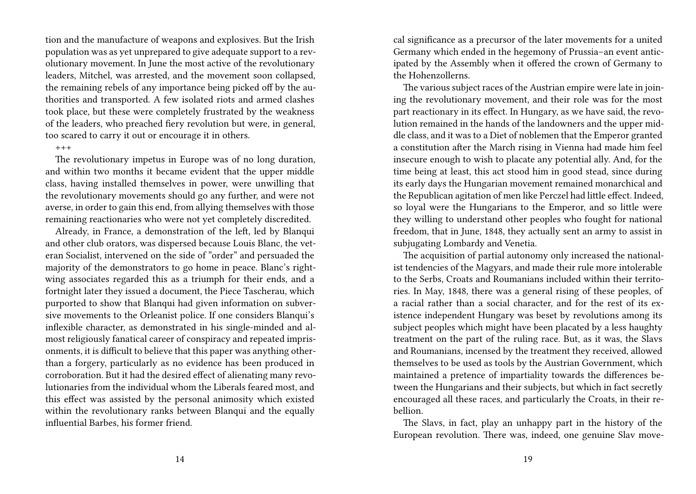tion and the manufacture of weapons and explosives. But the Irish population was as yet unprepared to give adequate support to a revolutionary movement. In June the most active of the revolutionary leaders, Mitchel, was arrested, and the movement soon collapsed, the remaining rebels of any importance being picked off by the authorities and transported. A few isolated riots and armed clashes took place, but these were completely frustrated by the weakness of the leaders, who preached fiery revolution but were, in general, too scared to carry it out or encourage it in others.

## $^{+++}$

The revolutionary impetus in Europe was of no long duration, and within two months it became evident that the upper middle class, having installed themselves in power, were unwilling that the revolutionary movements should go any further, and were not averse, in order to gain this end, from allying themselves with those remaining reactionaries who were not yet completely discredited.

Already, in France, a demonstration of the left, led by Blanqui and other club orators, was dispersed because Louis Blanc, the veteran Socialist, intervened on the side of "order" and persuaded the majority of the demonstrators to go home in peace. Blanc's rightwing associates regarded this as a triumph for their ends, and a fortnight later they issued a document, the Piece Tascherau, which purported to show that Blanqui had given information on subversive movements to the Orleanist police. If one considers Blanqui's inflexible character, as demonstrated in his single-minded and almost religiously fanatical career of conspiracy and repeated imprisonments, it is difficult to believe that this paper was anything otherthan a forgery, particularly as no evidence has been produced in corroboration. But it had the desired effect of alienating many revolutionaries from the individual whom the Liberals feared most, and this effect was assisted by the personal animosity which existed within the revolutionary ranks between Blanqui and the equally influential Barbes, his former friend.

cal significance as a precursor of the later movements for a united Germany which ended in the hegemony of Prussia–an event anticipated by the Assembly when it offered the crown of Germany to the Hohenzollerns.

The various subject races of the Austrian empire were late in joining the revolutionary movement, and their role was for the most part reactionary in its effect. In Hungary, as we have said, the revolution remained in the hands of the landowners and the upper middle class, and it was to a Diet of noblemen that the Emperor granted a constitution after the March rising in Vienna had made him feel insecure enough to wish to placate any potential ally. And, for the time being at least, this act stood him in good stead, since during its early days the Hungarian movement remained monarchical and the Republican agitation of men like Perczel had little effect. Indeed, so loyal were the Hungarians to the Emperor, and so little were they willing to understand other peoples who fought for national freedom, that in June, 1848, they actually sent an army to assist in subjugating Lombardy and Venetia.

The acquisition of partial autonomy only increased the nationalist tendencies of the Magyars, and made their rule more intolerable to the Serbs, Croats and Roumanians included within their territories. In May, 1848, there was a general rising of these peoples, of a racial rather than a social character, and for the rest of its existence independent Hungary was beset by revolutions among its subject peoples which might have been placated by a less haughty treatment on the part of the ruling race. But, as it was, the Slavs and Roumanians, incensed by the treatment they received, allowed themselves to be used as tools by the Austrian Government, which maintained a pretence of impartiality towards the differences between the Hungarians and their subjects, but which in fact secretly encouraged all these races, and particularly the Croats, in their rebellion.

The Slavs, in fact, play an unhappy part in the history of the European revolution. There was, indeed, one genuine Slav move-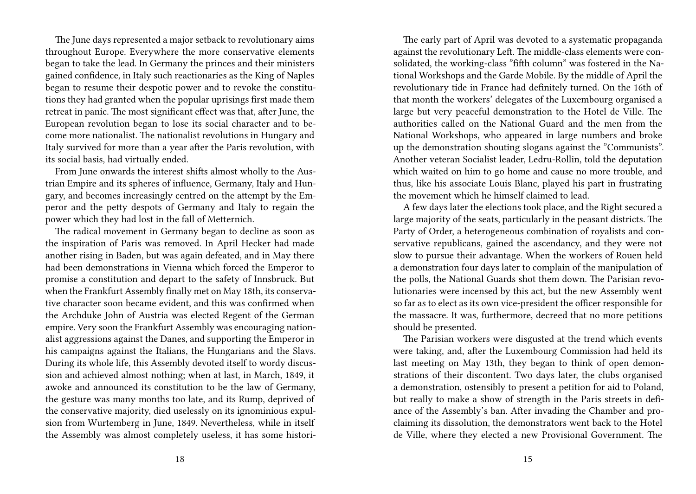The June days represented a major setback to revolutionary aims throughout Europe. Everywhere the more conservative elements began to take the lead. In Germany the princes and their ministers gained confidence, in Italy such reactionaries as the King of Naples began to resume their despotic power and to revoke the constitutions they had granted when the popular uprisings first made them retreat in panic. The most significant effect was that, after June, the European revolution began to lose its social character and to become more nationalist. The nationalist revolutions in Hungary and Italy survived for more than a year after the Paris revolution, with its social basis, had virtually ended.

From June onwards the interest shifts almost wholly to the Austrian Empire and its spheres of influence, Germany, Italy and Hungary, and becomes increasingly centred on the attempt by the Emperor and the petty despots of Germany and Italy to regain the power which they had lost in the fall of Metternich.

The radical movement in Germany began to decline as soon as the inspiration of Paris was removed. In April Hecker had made another rising in Baden, but was again defeated, and in May there had been demonstrations in Vienna which forced the Emperor to promise a constitution and depart to the safety of Innsbruck. But when the Frankfurt Assembly finally met on May 18th, its conservative character soon became evident, and this was confirmed when the Archduke John of Austria was elected Regent of the German empire. Very soon the Frankfurt Assembly was encouraging nationalist aggressions against the Danes, and supporting the Emperor in his campaigns against the Italians, the Hungarians and the Slavs. During its whole life, this Assembly devoted itself to wordy discussion and achieved almost nothing; when at last, in March, 1849, it awoke and announced its constitution to be the law of Germany, the gesture was many months too late, and its Rump, deprived of the conservative majority, died uselessly on its ignominious expulsion from Wurtemberg in June, 1849. Nevertheless, while in itself the Assembly was almost completely useless, it has some histori-

The early part of April was devoted to a systematic propaganda against the revolutionary Left. The middle-class elements were consolidated, the working-class "fifth column" was fostered in the National Workshops and the Garde Mobile. By the middle of April the revolutionary tide in France had definitely turned. On the 16th of that month the workers' delegates of the Luxembourg organised a large but very peaceful demonstration to the Hotel de Ville. The authorities called on the National Guard and the men from the National Workshops, who appeared in large numbers and broke up the demonstration shouting slogans against the "Communists". Another veteran Socialist leader, Ledru-Rollin, told the deputation which waited on him to go home and cause no more trouble, and thus, like his associate Louis Blanc, played his part in frustrating the movement which he himself claimed to lead.

A few days later the elections took place, and the Right secured a large majority of the seats, particularly in the peasant districts. The Party of Order, a heterogeneous combination of royalists and conservative republicans, gained the ascendancy, and they were not slow to pursue their advantage. When the workers of Rouen held a demonstration four days later to complain of the manipulation of the polls, the National Guards shot them down. The Parisian revolutionaries were incensed by this act, but the new Assembly went so far as to elect as its own vice-president the officer responsible for the massacre. It was, furthermore, decreed that no more petitions should be presented.

The Parisian workers were disgusted at the trend which events were taking, and, after the Luxembourg Commission had held its last meeting on May 13th, they began to think of open demonstrations of their discontent. Two days later, the clubs organised a demonstration, ostensibly to present a petition for aid to Poland, but really to make a show of strength in the Paris streets in defiance of the Assembly's ban. After invading the Chamber and proclaiming its dissolution, the demonstrators went back to the Hotel de Ville, where they elected a new Provisional Government. The